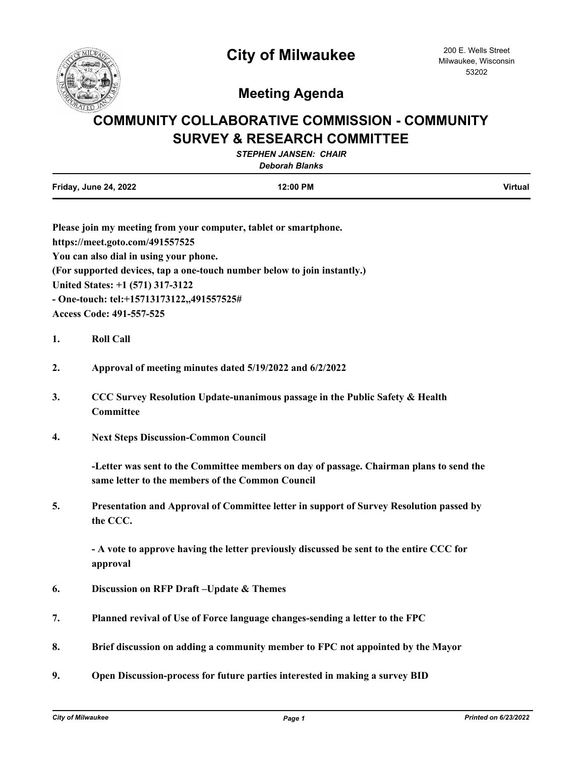

## **Meeting Agenda**

## **COMMUNITY COLLABORATIVE COMMISSION - COMMUNITY SURVEY & RESEARCH COMMITTEE**

| <b>STEPHEN JANSEN: CHAIR</b><br><b>Deborah Blanks</b> |          |                |
|-------------------------------------------------------|----------|----------------|
| <b>Friday, June 24, 2022</b>                          | 12:00 PM | <b>Virtual</b> |

| Please join my meeting from your computer, tablet or smartphone.         |
|--------------------------------------------------------------------------|
| https://meet.goto.com/491557525                                          |
| You can also dial in using your phone.                                   |
| (For supported devices, tap a one-touch number below to join instantly.) |
| United States: +1 (571) 317-3122                                         |
| - One-touch: tel: +15713173122,,491557525#                               |
| <b>Access Code: 491-557-525</b>                                          |

- **1. Roll Call**
- **2. Approval of meeting minutes dated 5/19/2022 and 6/2/2022**
- **3. CCC Survey Resolution Update-unanimous passage in the Public Safety & Health Committee**
- **4. Next Steps Discussion-Common Council**

**-Letter was sent to the Committee members on day of passage. Chairman plans to send the same letter to the members of the Common Council**

**5. Presentation and Approval of Committee letter in support of Survey Resolution passed by the CCC.**

**- A vote to approve having the letter previously discussed be sent to the entire CCC for approval**

- **6. Discussion on RFP Draft –Update & Themes**
- **7. Planned revival of Use of Force language changes-sending a letter to the FPC**
- **8. Brief discussion on adding a community member to FPC not appointed by the Mayor**
- **9. Open Discussion-process for future parties interested in making a survey BID**